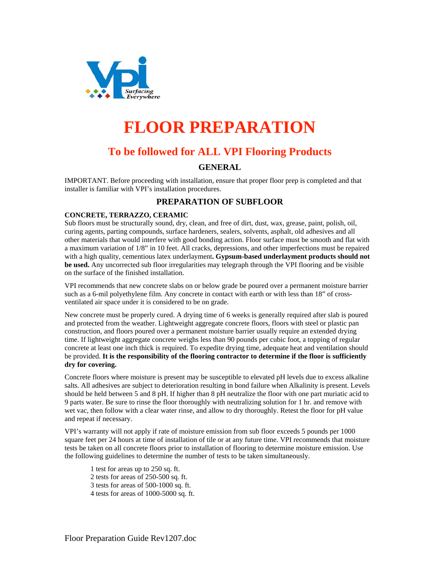

# **FLOOR PREPARATION**

# **To be followed for ALL VPI Flooring Products**

### **GENERAL**

IMPORTANT. Before proceeding with installation, ensure that proper floor prep is completed and that installer is familiar with VPI's installation procedures.

## **PREPARATION OF SUBFLOOR**

#### **CONCRETE, TERRAZZO, CERAMIC**

Sub floors must be structurally sound, dry, clean, and free of dirt, dust, wax, grease, paint, polish, oil, curing agents, parting compounds, surface hardeners, sealers, solvents, asphalt, old adhesives and all other materials that would interfere with good bonding action. Floor surface must be smooth and flat with a maximum variation of 1/8" in 10 feet. All cracks, depressions, and other imperfections must be repaired with a high quality, cementious latex underlayment**. Gypsum-based underlayment products should not be used.** Any uncorrected sub floor irregularities may telegraph through the VPI flooring and be visible on the surface of the finished installation.

VPI recommends that new concrete slabs on or below grade be poured over a permanent moisture barrier such as a 6-mil polyethylene film. Any concrete in contact with earth or with less than 18" of crossventilated air space under it is considered to be on grade.

New concrete must be properly cured. A drying time of 6 weeks is generally required after slab is poured and protected from the weather. Lightweight aggregate concrete floors, floors with steel or plastic pan construction, and floors poured over a permanent moisture barrier usually require an extended drying time. If lightweight aggregate concrete weighs less than 90 pounds per cubic foot, a topping of regular concrete at least one inch thick is required. To expedite drying time, adequate heat and ventilation should be provided. **It is the responsibility of the flooring contractor to determine if the floor is sufficiently dry for covering.** 

Concrete floors where moisture is present may be susceptible to elevated pH levels due to excess alkaline salts. All adhesives are subject to deterioration resulting in bond failure when Alkalinity is present. Levels should be held between 5 and 8 pH. If higher than 8 pH neutralize the floor with one part muriatic acid to 9 parts water. Be sure to rinse the floor thoroughly with neutralizing solution for 1 hr. and remove with wet vac, then follow with a clear water rinse, and allow to dry thoroughly. Retest the floor for pH value and repeat if necessary.

VPI's warranty will not apply if rate of moisture emission from sub floor exceeds 5 pounds per 1000 square feet per 24 hours at time of installation of tile or at any future time. VPI recommends that moisture tests be taken on all concrete floors prior to installation of flooring to determine moisture emission. Use the following guidelines to determine the number of tests to be taken simultaneously.

- 1 test for areas up to 250 sq. ft. 2 tests for areas of 250-500 sq. ft. 3 tests for areas of 500-1000 sq. ft.
- 4 tests for areas of 1000-5000 sq. ft.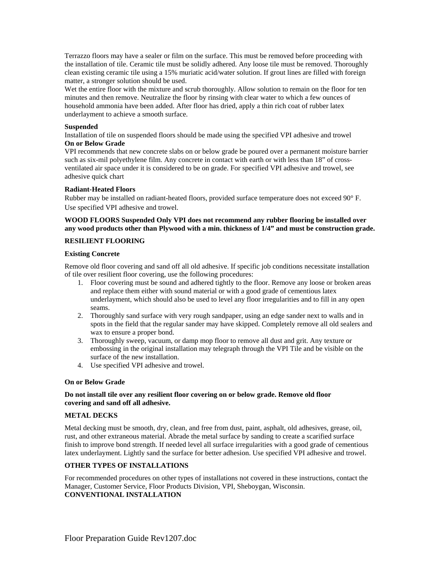Terrazzo floors may have a sealer or film on the surface. This must be removed before proceeding with the installation of tile. Ceramic tile must be solidly adhered. Any loose tile must be removed. Thoroughly clean existing ceramic tile using a 15% muriatic acid/water solution. If grout lines are filled with foreign matter, a stronger solution should be used.

Wet the entire floor with the mixture and scrub thoroughly. Allow solution to remain on the floor for ten minutes and then remove. Neutralize the floor by rinsing with clear water to which a few ounces of household ammonia have been added. After floor has dried, apply a thin rich coat of rubber latex underlayment to achieve a smooth surface.

#### **Suspended**

Installation of tile on suspended floors should be made using the specified VPI adhesive and trowel **On or Below Grade** 

VPI recommends that new concrete slabs on or below grade be poured over a permanent moisture barrier such as six-mil polyethylene film. Any concrete in contact with earth or with less than 18" of crossventilated air space under it is considered to be on grade. For specified VPI adhesive and trowel, see adhesive quick chart

#### **Radiant-Heated Floors**

Rubber may be installed on radiant-heated floors, provided surface temperature does not exceed 90° F. Use specified VPI adhesive and trowel.

#### **WOOD FLOORS Suspended Only VPI does not recommend any rubber flooring be installed over any wood products other than Plywood with a min. thickness of 1/4" and must be construction grade.**

#### **RESILIENT FLOORING**

#### **Existing Concrete**

Remove old floor covering and sand off all old adhesive. If specific job conditions necessitate installation of tile over resilient floor covering, use the following procedures:

- 1. Floor covering must be sound and adhered tightly to the floor. Remove any loose or broken areas and replace them either with sound material or with a good grade of cementious latex underlayment, which should also be used to level any floor irregularities and to fill in any open seams.
- 2. Thoroughly sand surface with very rough sandpaper, using an edge sander next to walls and in spots in the field that the regular sander may have skipped. Completely remove all old sealers and wax to ensure a proper bond.
- 3. Thoroughly sweep, vacuum, or damp mop floor to remove all dust and grit. Any texture or embossing in the original installation may telegraph through the VPI Tile and be visible on the surface of the new installation.
- 4. Use specified VPI adhesive and trowel.

#### **On or Below Grade**

#### **Do not install tile over any resilient floor covering on or below grade. Remove old floor covering and sand off all adhesive.**

#### **METAL DECKS**

Metal decking must be smooth, dry, clean, and free from dust, paint, asphalt, old adhesives, grease, oil, rust, and other extraneous material. Abrade the metal surface by sanding to create a scarified surface finish to improve bond strength. If needed level all surface irregularities with a good grade of cementious latex underlayment. Lightly sand the surface for better adhesion. Use specified VPI adhesive and trowel.

#### **OTHER TYPES OF INSTALLATIONS**

For recommended procedures on other types of installations not covered in these instructions, contact the Manager, Customer Service, Floor Products Division, VPI, Sheboygan, Wisconsin. **CONVENTIONAL INSTALLATION**